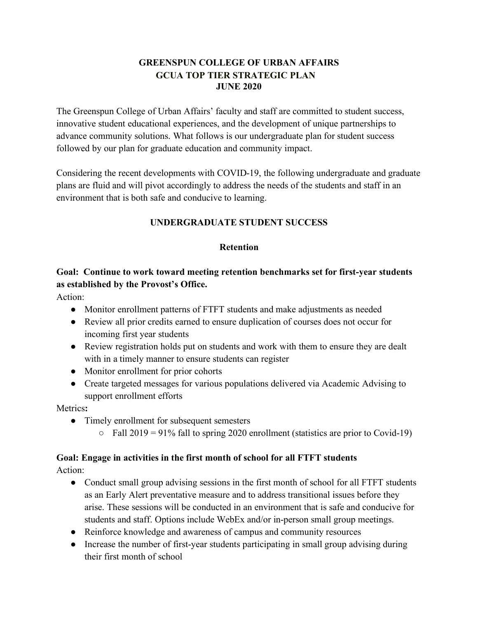## **GREENSPUN COLLEGE OF URBAN AFFAIRS GCUA TOP TIER STRATEGIC PLAN JUNE 2020**

The Greenspun College of Urban Affairs' faculty and staff are committed to student success, innovative student educational experiences, and the development of unique partnerships to advance community solutions. What follows is our undergraduate plan for student success followed by our plan for graduate education and community impact.

Considering the recent developments with COVID-19, the following undergraduate and graduate plans are fluid and will pivot accordingly to address the needs of the students and staff in an environment that is both safe and conducive to learning.

## **UNDERGRADUATE STUDENT SUCCESS**

#### **Retention**

## **Goal: Continue to work toward meeting retention benchmarks set for first-year students as established by the Provost's Office.**

Action:

- Monitor enrollment patterns of FTFT students and make adjustments as needed
- Review all prior credits earned to ensure duplication of courses does not occur for incoming first year students
- Review registration holds put on students and work with them to ensure they are dealt with in a timely manner to ensure students can register
- Monitor enrollment for prior cohorts
- Create targeted messages for various populations delivered via Academic Advising to support enrollment efforts

Metrics**:**

- Timely enrollment for subsequent semesters
	- $\circ$  Fall 2019 = 91% fall to spring 2020 enrollment (statistics are prior to Covid-19)

## **Goal: Engage in activities in the first month of school for all FTFT students**

Action:

- Conduct small group advising sessions in the first month of school for all FTFT students as an Early Alert preventative measure and to address transitional issues before they arise. These sessions will be conducted in an environment that is safe and conducive for students and staff. Options include WebEx and/or in-person small group meetings.
- Reinforce knowledge and awareness of campus and community resources
- Increase the number of first-year students participating in small group advising during their first month of school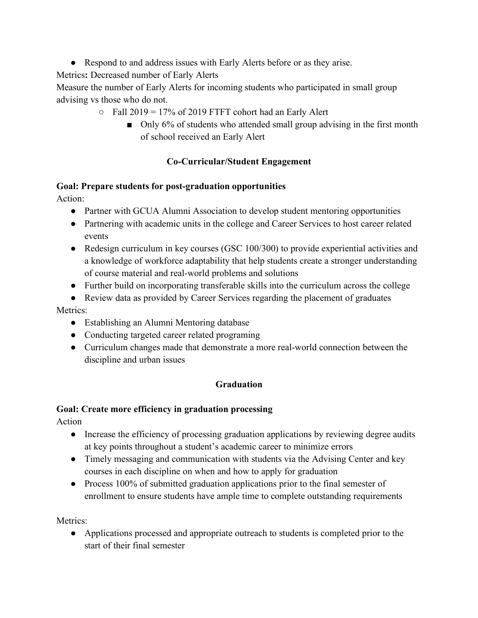● Respond to and address issues with Early Alerts before or as they arise.

Metrics**:** Decreased number of Early Alerts

Measure the number of Early Alerts for incoming students who participated in small group advising vs those who do not.

- $\circ$  Fall 2019 = 17% of 2019 FTFT cohort had an Early Alert
	- Only 6% of students who attended small group advising in the first month of school received an Early Alert

# **Co-Curricular/Student Engagement**

## **Goal: Prepare students for post-graduation opportunities**

Action:

- Partner with GCUA Alumni Association to develop student mentoring opportunities
- Partnering with academic units in the college and Career Services to host career related events
- Redesign curriculum in key courses (GSC 100/300) to provide experiential activities and a knowledge of workforce adaptability that help students create a stronger understanding of course material and real-world problems and solutions
- Further build on incorporating transferable skills into the curriculum across the college
- Review data as provided by Career Services regarding the placement of graduates

## Metrics<sup>.</sup>

- Establishing an Alumni Mentoring database
- Conducting targeted career related programing
- Curriculum changes made that demonstrate a more real-world connection between the discipline and urban issues

# **Graduation**

# **Goal: Create more efficiency in graduation processing**

Action

- Increase the efficiency of processing graduation applications by reviewing degree audits at key points throughout a student's academic career to minimize errors
- Timely messaging and communication with students via the Advising Center and key courses in each discipline on when and how to apply for graduation
- Process 100% of submitted graduation applications prior to the final semester of enrollment to ensure students have ample time to complete outstanding requirements

Metrics<sup>.</sup>

● Applications processed and appropriate outreach to students is completed prior to the start of their final semester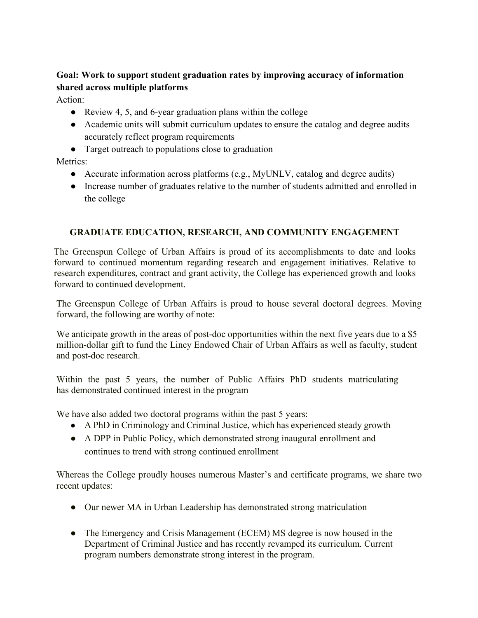# **Goal: Work to support student graduation rates by improving accuracy of information shared across multiple platforms**

Action:

- Review 4, 5, and 6-year graduation plans within the college
- Academic units will submit curriculum updates to ensure the catalog and degree audits accurately reflect program requirements
- Target outreach to populations close to graduation

Metrics:

- Accurate information across platforms (e.g., MyUNLV, catalog and degree audits)
- Increase number of graduates relative to the number of students admitted and enrolled in the college

## **GRADUATE EDUCATION, RESEARCH, AND COMMUNITY ENGAGEMENT**

The Greenspun College of Urban Affairs is proud of its accomplishments to date and looks forward to continued momentum regarding research and engagement initiatives. Relative to research expenditures, contract and grant activity, the College has experienced growth and looks forward to continued development.

The Greenspun College of Urban Affairs is proud to house several doctoral degrees. Moving forward, the following are worthy of note:

We anticipate growth in the areas of post-doc opportunities within the next five years due to a \$5 million-dollar gift to fund the Lincy Endowed Chair of Urban Affairs as well as faculty, student and post-doc research.

Within the past 5 years, the number of Public Affairs PhD students matriculating has demonstrated continued interest in the program

We have also added two doctoral programs within the past 5 years:

- A PhD in Criminology and Criminal Justice, which has experienced steady growth
- A DPP in Public Policy, which demonstrated strong inaugural enrollment and continues to trend with strong continued enrollment

Whereas the College proudly houses numerous Master's and certificate programs, we share two recent updates:

- Our newer MA in Urban Leadership has demonstrated strong matriculation
- The Emergency and Crisis Management (ECEM) MS degree is now housed in the Department of Criminal Justice and has recently revamped its curriculum. Current program numbers demonstrate strong interest in the program.